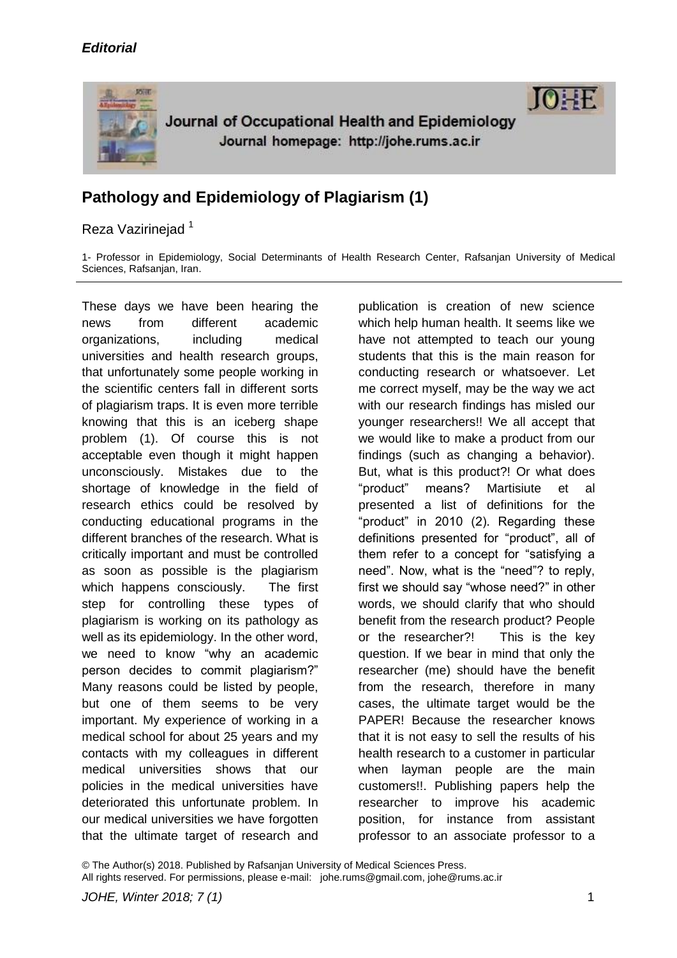



## Reza Vazirinejad<sup>1</sup>

1- Professor in Epidemiology, Social Determinants of Health Research Center, Rafsanjan University of Medical Sciences, Rafsanjan, Iran.

These days we have been hearing the news from different academic organizations, including medical universities and health research groups, that unfortunately some people working in the scientific centers fall in different sorts of plagiarism traps. It is even more terrible knowing that this is an iceberg shape problem (1). Of course this is not acceptable even though it might happen unconsciously. Mistakes due to the shortage of knowledge in the field of research ethics could be resolved by conducting educational programs in the different branches of the research. What is critically important and must be controlled as soon as possible is the plagiarism which happens consciously. The first step for controlling these types of plagiarism is working on its pathology as well as its epidemiology. In the other word, we need to know "why an academic person decides to commit plagiarism?" Many reasons could be listed by people, but one of them seems to be very important. My experience of working in a medical school for about 25 years and my contacts with my colleagues in different medical universities shows that our policies in the medical universities have deteriorated this unfortunate problem. In our medical universities we have forgotten that the ultimate target of research and

publication is creation of new science which help human health. It seems like we have not attempted to teach our young students that this is the main reason for conducting research or whatsoever. Let me correct myself, may be the way we act with our research findings has misled our younger researchers!! We all accept that we would like to make a product from our findings (such as changing a behavior). But, what is this product?! Or what does "product" means? Martisiute et al presented a list of definitions for the "product" in 2010 (2). Regarding these definitions presented for "product", all of them refer to a concept for "satisfying a need". Now, what is the "need"? to reply, first we should say "whose need?" in other words, we should clarify that who should benefit from the research product? People or the researcher?! This is the key question. If we bear in mind that only the researcher (me) should have the benefit from the research, therefore in many cases, the ultimate target would be the PAPER! Because the researcher knows that it is not easy to sell the results of his health research to a customer in particular when layman people are the main customers!!. Publishing papers help the researcher to improve his academic position, for instance from assistant professor to an associate professor to a

 $10 \pm F$ 

© The Author(s) 2018. Published by Rafsanjan University of Medical Sciences Press. All rights reserved. For permissions, please e-mail: johe.rums@gmail.com, johe@rums.ac.ir